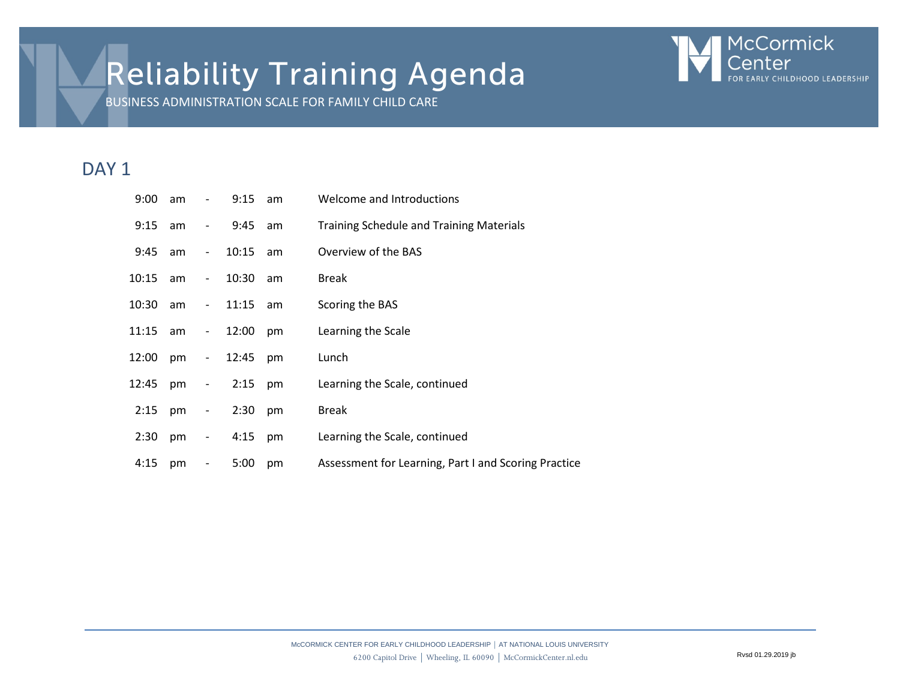# Reliability Training Agenda



BUSINESS ADMINISTRATION SCALE FOR FAMILY CHILD CARE

## DAY<sub>1</sub>

| 9:00  | am | $\qquad \qquad -$            | 9:15     | am | Welcome and Introductions                            |
|-------|----|------------------------------|----------|----|------------------------------------------------------|
| 9:15  | am | $\overline{\phantom{a}}$     | 9:45     | am | <b>Training Schedule and Training Materials</b>      |
| 9:45  | am | $\overline{\phantom{a}}$     | 10:15    | am | Overview of the BAS                                  |
| 10:15 | am | $\blacksquare$               | 10:30    | am | <b>Break</b>                                         |
| 10:30 | am | $\blacksquare$               | 11:15    | am | Scoring the BAS                                      |
| 11:15 | am | $\blacksquare$               | 12:00    | pm | Learning the Scale                                   |
| 12:00 | pm |                              | $-12:45$ | pm | Lunch                                                |
| 12:45 | pm | $\blacksquare$               | 2:15     | pm | Learning the Scale, continued                        |
| 2:15  | pm | $\sim 100$                   | 2:30     | pm | <b>Break</b>                                         |
| 2:30  | pm |                              | $-4:15$  | pm | Learning the Scale, continued                        |
| 4:15  | pm | $\qquad \qquad \blacksquare$ | 5:00     | pm | Assessment for Learning, Part I and Scoring Practice |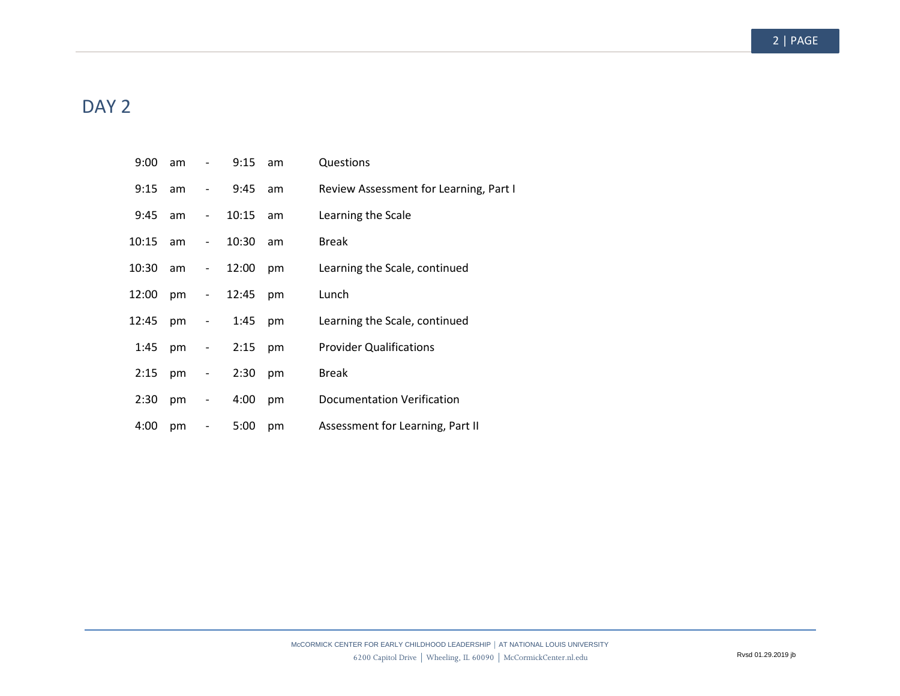#### 2 | PAGE

## DAY<sub>2</sub>

| 9:00       | am |                                               | 9:15  | am | Questions                              |
|------------|----|-----------------------------------------------|-------|----|----------------------------------------|
| 9:15       | am | $\blacksquare$                                | 9:45  | am | Review Assessment for Learning, Part I |
| $9:45$ am  |    | $\sim 100$                                    | 10:15 | am | Learning the Scale                     |
| $10:15$ am |    | $\overline{\phantom{a}}$                      | 10:30 | am | <b>Break</b>                           |
| 10:30      | am | $\sim 100$                                    | 12:00 | pm | Learning the Scale, continued          |
| 12:00      | pm | $\frac{1}{2}$ and $\frac{1}{2}$               | 12:45 | pm | Lunch                                  |
| 12:45      | pm | $\overline{\phantom{a}}$                      | 1:45  | pm | Learning the Scale, continued          |
| 1:45       | pm | $\frac{1}{2}$ , $\frac{1}{2}$ , $\frac{1}{2}$ | 2:15  | pm | <b>Provider Qualifications</b>         |
| 2:15       | pm | $\overline{\phantom{a}}$                      | 2:30  | pm | <b>Break</b>                           |
| 2:30       | pm | $\blacksquare$                                | 4:00  | pm | Documentation Verification             |
| 4:00       | pm | $\overline{\phantom{0}}$                      | 5:00  | pm | Assessment for Learning, Part II       |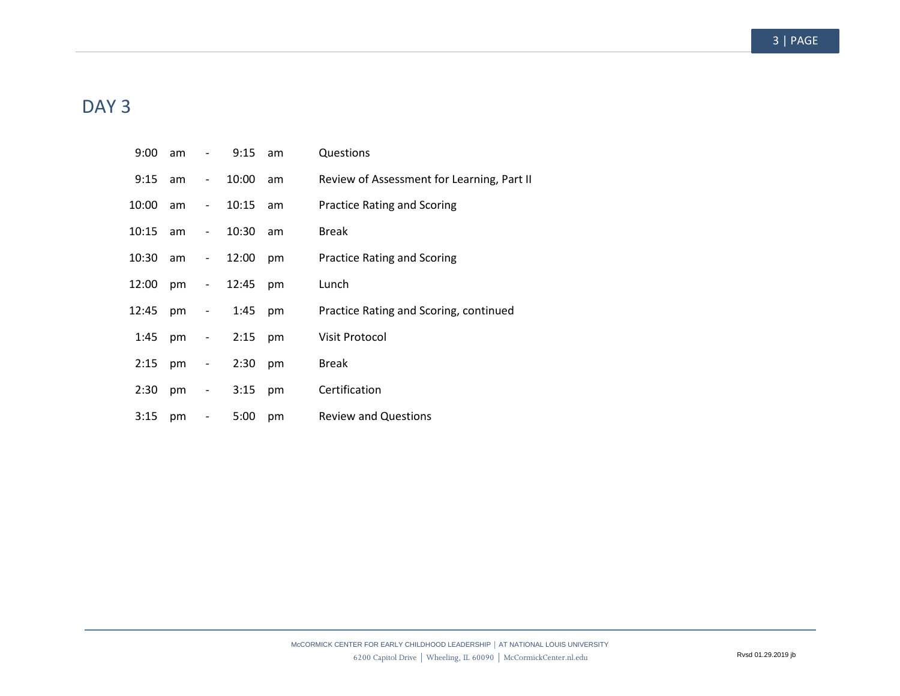#### 3 | PAGE

## DAY<sub>3</sub>

| 9:00     | am | $\overline{\phantom{a}}$                      | 9:15      | am | Questions                                  |
|----------|----|-----------------------------------------------|-----------|----|--------------------------------------------|
| 9:15     | am | $\sim 100$                                    | 10:00     | am | Review of Assessment for Learning, Part II |
| 10:00    | am | $\sim 100$                                    | 10:15     | am | <b>Practice Rating and Scoring</b>         |
| 10:15    | am | $\sim 10^{-1}$                                | 10:30     | am | <b>Break</b>                               |
| 10:30 am |    | - 1                                           | 12:00     | pm | <b>Practice Rating and Scoring</b>         |
| 12:00    | pm | $\sim 10^{-1}$                                | 12:45     | pm | Lunch                                      |
| 12:45    | pm | $\overline{\phantom{a}}$                      | 1:45      | pm | Practice Rating and Scoring, continued     |
| 1:45     | pm | $\frac{1}{2}$ , $\frac{1}{2}$ , $\frac{1}{2}$ | $2:15$ pm |    | Visit Protocol                             |
| 2:15     | pm | $\overline{\phantom{a}}$                      | 2:30      | pm | <b>Break</b>                               |
| 2:30     | pm | $\overline{\phantom{a}}$                      | 3:15      | pm | Certification                              |
| 3:15     | pm | $\overline{\phantom{0}}$                      | 5:00      | pm | <b>Review and Questions</b>                |